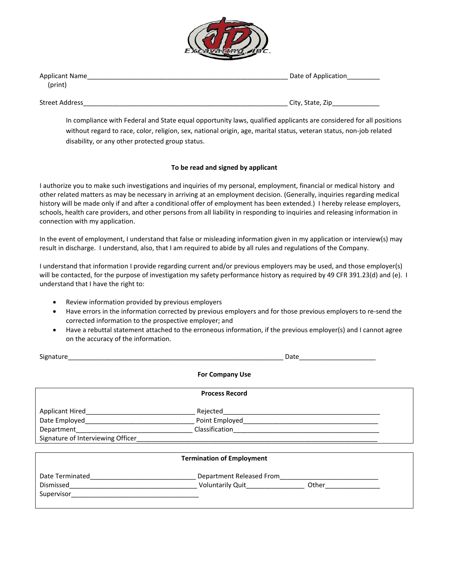

| <b>Applicant Name</b> | Date of Application |  |  |  |
|-----------------------|---------------------|--|--|--|
| (print)               |                     |  |  |  |
|                       |                     |  |  |  |
| <b>Street Address</b> | City, State, Zip    |  |  |  |

In compliance with Federal and State equal opportunity laws, qualified applicants are considered for all positions without regard to race, color, religion, sex, national origin, age, marital status, veteran status, non‐job related disability, or any other protected group status.

## **To be read and signed by applicant**

I authorize you to make such investigations and inquiries of my personal, employment, financial or medical history and other related matters as may be necessary in arriving at an employment decision. (Generally, inquiries regarding medical history will be made only if and after a conditional offer of employment has been extended.) I hereby release employers, schools, health care providers, and other persons from all liability in responding to inquiries and releasing information in connection with my application.

In the event of employment, I understand that false or misleading information given in my application or interview(s) may result in discharge. I understand, also, that I am required to abide by all rules and regulations of the Company.

I understand that information I provide regarding current and/or previous employers may be used, and those employer(s) will be contacted, for the purpose of investigation my safety performance history as required by 49 CFR 391.23(d) and (e). I understand that I have the right to:

- Review information provided by previous employers
- Have errors in the information corrected by previous employers and for those previous employers to re‐send the corrected information to the prospective employer; and
- Have a rebuttal statement attached to the erroneous information, if the previous employer(s) and I cannot agree on the accuracy of the information.

| Signature                                                                                                                           | Date                             |  |  |  |  |  |
|-------------------------------------------------------------------------------------------------------------------------------------|----------------------------------|--|--|--|--|--|
|                                                                                                                                     | <b>For Company Use</b>           |  |  |  |  |  |
|                                                                                                                                     | <b>Process Record</b>            |  |  |  |  |  |
| Applicant Hired <b>Exercise 2018</b>                                                                                                |                                  |  |  |  |  |  |
|                                                                                                                                     |                                  |  |  |  |  |  |
| <b>Department</b>                                                                                                                   |                                  |  |  |  |  |  |
| Signature of Interviewing Officer                                                                                                   |                                  |  |  |  |  |  |
|                                                                                                                                     | <b>Termination of Employment</b> |  |  |  |  |  |
| Date Terminated                                                                                                                     |                                  |  |  |  |  |  |
|                                                                                                                                     | Department Released From         |  |  |  |  |  |
| Supervisor<br><u> 1980 - Jan Stein Bernstein, mars and de Branden and de Branden and de Branden and de Branden and de Branden a</u> | Voluntarily Quit________________ |  |  |  |  |  |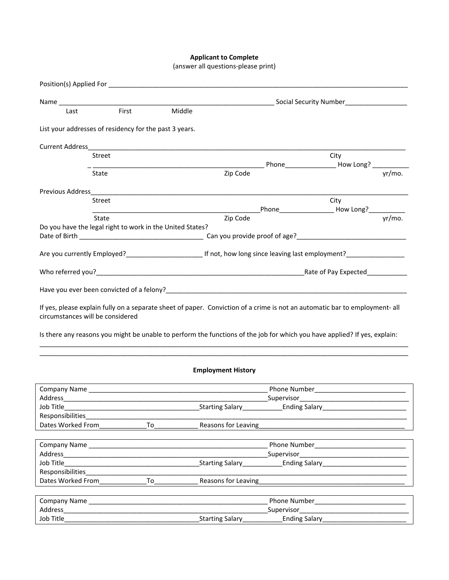## **Applicant to Complete**

| (answer all questions-please print) |  |
|-------------------------------------|--|
|-------------------------------------|--|

|                                        |                                                                                 |                                                                                                                   |                           |               | Social Security Number<br>Social Security Number                                                                            |        |
|----------------------------------------|---------------------------------------------------------------------------------|-------------------------------------------------------------------------------------------------------------------|---------------------------|---------------|-----------------------------------------------------------------------------------------------------------------------------|--------|
| Last                                   | First                                                                           | Middle                                                                                                            |                           |               |                                                                                                                             |        |
|                                        |                                                                                 | List your addresses of residency for the past 3 years.                                                            |                           |               |                                                                                                                             |        |
|                                        |                                                                                 |                                                                                                                   |                           |               |                                                                                                                             |        |
|                                        | Street                                                                          |                                                                                                                   |                           |               | City                                                                                                                        |        |
|                                        | State                                                                           |                                                                                                                   | Zip Code                  |               |                                                                                                                             | vr/mo. |
| Previous Address                       |                                                                                 |                                                                                                                   |                           |               |                                                                                                                             |        |
|                                        | Street                                                                          |                                                                                                                   |                           |               | City                                                                                                                        |        |
|                                        | State                                                                           |                                                                                                                   | Zip Code                  |               |                                                                                                                             | yr/mo. |
|                                        |                                                                                 | Do you have the legal right to work in the United States?                                                         |                           |               |                                                                                                                             |        |
|                                        |                                                                                 |                                                                                                                   |                           |               |                                                                                                                             |        |
|                                        |                                                                                 |                                                                                                                   |                           |               |                                                                                                                             |        |
|                                        |                                                                                 |                                                                                                                   |                           |               |                                                                                                                             |        |
|                                        |                                                                                 |                                                                                                                   |                           |               |                                                                                                                             |        |
|                                        | circumstances will be considered                                                |                                                                                                                   |                           |               | If yes, please explain fully on a separate sheet of paper. Conviction of a crime is not an automatic bar to employment- all |        |
|                                        |                                                                                 |                                                                                                                   |                           |               | Is there any reasons you might be unable to perform the functions of the job for which you have applied? If yes, explain:   |        |
|                                        |                                                                                 |                                                                                                                   | <b>Employment History</b> |               |                                                                                                                             |        |
|                                        |                                                                                 |                                                                                                                   |                           |               |                                                                                                                             |        |
|                                        |                                                                                 |                                                                                                                   |                           |               |                                                                                                                             |        |
| Job Title<br>Responsibilities          |                                                                                 |                                                                                                                   | Starting Salary           | Ending Salary |                                                                                                                             |        |
| Dates Worked From                      |                                                                                 | To                                                                                                                | Reasons for Leaving       |               |                                                                                                                             |        |
|                                        |                                                                                 |                                                                                                                   |                           |               |                                                                                                                             |        |
|                                        |                                                                                 | Company Name and the company of the company name of the company name of the company of the company of the company |                           |               |                                                                                                                             |        |
| Address                                | the contract of the contract of the contract of the contract of the contract of |                                                                                                                   |                           |               |                                                                                                                             |        |
| Job Title                              |                                                                                 |                                                                                                                   |                           |               |                                                                                                                             |        |
| Responsibilities_<br>Dates Worked From |                                                                                 |                                                                                                                   |                           |               |                                                                                                                             |        |
|                                        |                                                                                 | To                                                                                                                | Reasons for Leaving       |               |                                                                                                                             |        |
| <b>Company Name</b>                    |                                                                                 |                                                                                                                   |                           |               | Phone Number <b>Example 20</b>                                                                                              |        |
| Address                                |                                                                                 |                                                                                                                   |                           |               |                                                                                                                             |        |
| Job Title                              |                                                                                 |                                                                                                                   | Starting Salary_          | Ending Salary |                                                                                                                             |        |